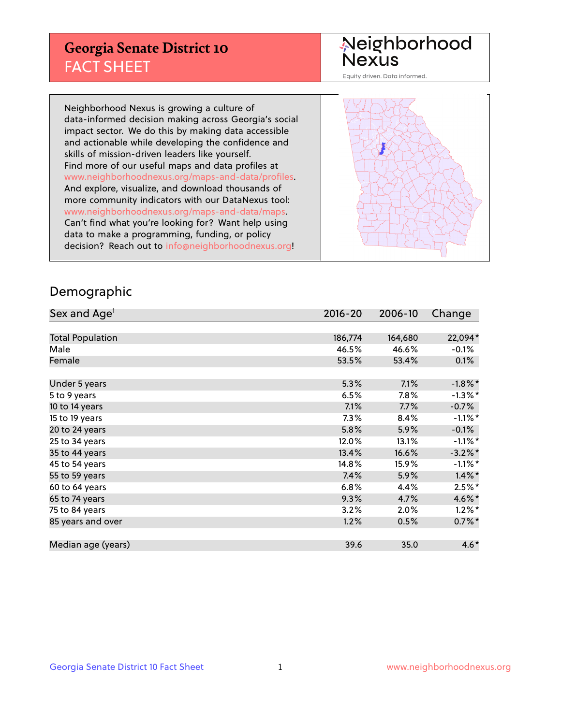## **Georgia Senate District 10** FACT SHEET

# Neighborhood<br>Nexus

Equity driven. Data informed.

Neighborhood Nexus is growing a culture of data-informed decision making across Georgia's social impact sector. We do this by making data accessible and actionable while developing the confidence and skills of mission-driven leaders like yourself. Find more of our useful maps and data profiles at www.neighborhoodnexus.org/maps-and-data/profiles. And explore, visualize, and download thousands of more community indicators with our DataNexus tool: www.neighborhoodnexus.org/maps-and-data/maps. Can't find what you're looking for? Want help using data to make a programming, funding, or policy decision? Reach out to [info@neighborhoodnexus.org!](mailto:info@neighborhoodnexus.org)



### Demographic

| Sex and Age <sup>1</sup> | $2016 - 20$ | 2006-10 | Change     |
|--------------------------|-------------|---------|------------|
|                          |             |         |            |
| <b>Total Population</b>  | 186,774     | 164,680 | 22,094*    |
| Male                     | 46.5%       | 46.6%   | $-0.1\%$   |
| Female                   | 53.5%       | 53.4%   | 0.1%       |
|                          |             |         |            |
| Under 5 years            | 5.3%        | 7.1%    | $-1.8\%$ * |
| 5 to 9 years             | 6.5%        | 7.8%    | $-1.3\%$ * |
| 10 to 14 years           | 7.1%        | 7.7%    | $-0.7%$    |
| 15 to 19 years           | 7.3%        | 8.4%    | $-1.1\%$ * |
| 20 to 24 years           | 5.8%        | 5.9%    | $-0.1%$    |
| 25 to 34 years           | 12.0%       | 13.1%   | $-1.1\%$ * |
| 35 to 44 years           | 13.4%       | 16.6%   | $-3.2\%$ * |
| 45 to 54 years           | 14.8%       | 15.9%   | $-1.1\%$ * |
| 55 to 59 years           | 7.4%        | 5.9%    | $1.4\%$ *  |
| 60 to 64 years           | 6.8%        | 4.4%    | $2.5%$ *   |
| 65 to 74 years           | 9.3%        | 4.7%    | 4.6%*      |
| 75 to 84 years           | 3.2%        | 2.0%    | $1.2\%$ *  |
| 85 years and over        | 1.2%        | 0.5%    | $0.7\%$ *  |
|                          |             |         |            |
| Median age (years)       | 39.6        | 35.0    | $4.6*$     |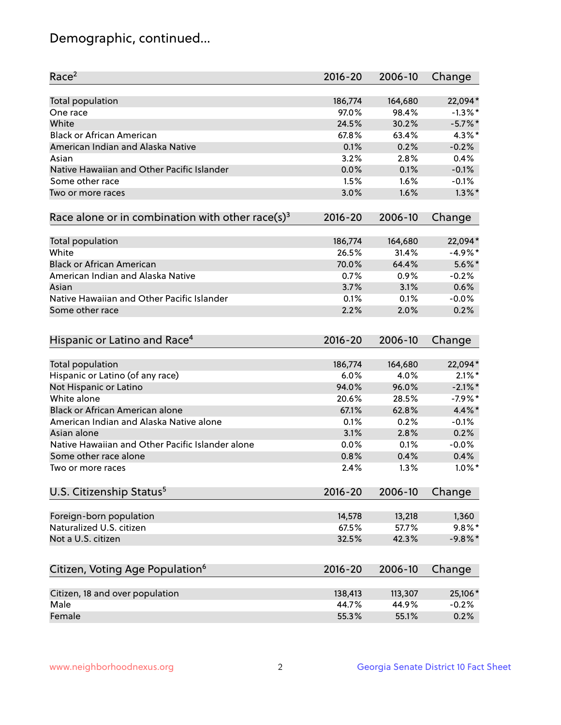## Demographic, continued...

| Race <sup>2</sup>                                            | $2016 - 20$ | 2006-10 | Change     |
|--------------------------------------------------------------|-------------|---------|------------|
| <b>Total population</b>                                      | 186,774     | 164,680 | 22,094*    |
| One race                                                     | 97.0%       | 98.4%   | $-1.3\%$ * |
| White                                                        | 24.5%       | 30.2%   | $-5.7\%$ * |
| <b>Black or African American</b>                             | 67.8%       | 63.4%   | $4.3\%$ *  |
| American Indian and Alaska Native                            | 0.1%        | 0.2%    | $-0.2%$    |
| Asian                                                        | 3.2%        | 2.8%    | 0.4%       |
| Native Hawaiian and Other Pacific Islander                   | 0.0%        | 0.1%    | $-0.1%$    |
| Some other race                                              | 1.5%        | 1.6%    | $-0.1%$    |
| Two or more races                                            | 3.0%        | 1.6%    | $1.3\%$ *  |
| Race alone or in combination with other race(s) <sup>3</sup> | $2016 - 20$ | 2006-10 | Change     |
| Total population                                             | 186,774     | 164,680 | 22,094*    |
| White                                                        | 26.5%       | 31.4%   | $-4.9%$ *  |
| <b>Black or African American</b>                             | 70.0%       | 64.4%   | $5.6\%$ *  |
| American Indian and Alaska Native                            | 0.7%        | 0.9%    | $-0.2%$    |
| Asian                                                        | 3.7%        | 3.1%    | 0.6%       |
| Native Hawaiian and Other Pacific Islander                   | 0.1%        | 0.1%    | $-0.0%$    |
| Some other race                                              | 2.2%        | 2.0%    | 0.2%       |
|                                                              |             |         |            |
| Hispanic or Latino and Race <sup>4</sup>                     | $2016 - 20$ | 2006-10 | Change     |
| <b>Total population</b>                                      | 186,774     | 164,680 | 22,094*    |
| Hispanic or Latino (of any race)                             | 6.0%        | 4.0%    | $2.1\%$ *  |
| Not Hispanic or Latino                                       | 94.0%       | 96.0%   | $-2.1\%$ * |
| White alone                                                  | 20.6%       | 28.5%   | $-7.9%$ *  |
| <b>Black or African American alone</b>                       | 67.1%       | 62.8%   | 4.4%*      |
| American Indian and Alaska Native alone                      | 0.1%        | 0.2%    | $-0.1%$    |
| Asian alone                                                  | 3.1%        | 2.8%    | 0.2%       |
| Native Hawaiian and Other Pacific Islander alone             | 0.0%        | 0.1%    | $-0.0%$    |
| Some other race alone                                        | 0.8%        | 0.4%    | 0.4%       |
| Two or more races                                            | 2.4%        | 1.3%    | $1.0\%$ *  |
| U.S. Citizenship Status <sup>5</sup>                         | $2016 - 20$ | 2006-10 | Change     |
|                                                              |             |         |            |
| Foreign-born population                                      | 14,578      | 13,218  | 1,360      |
| Naturalized U.S. citizen                                     | 67.5%       | 57.7%   | $9.8\%$ *  |
| Not a U.S. citizen                                           | 32.5%       | 42.3%   | $-9.8%$ *  |
| Citizen, Voting Age Population <sup>6</sup>                  | $2016 - 20$ | 2006-10 | Change     |
|                                                              |             |         |            |
| Citizen, 18 and over population<br>Male                      | 138,413     | 113,307 | 25,106*    |
|                                                              | 44.7%       | 44.9%   | $-0.2%$    |
| Female                                                       | 55.3%       | 55.1%   | 0.2%       |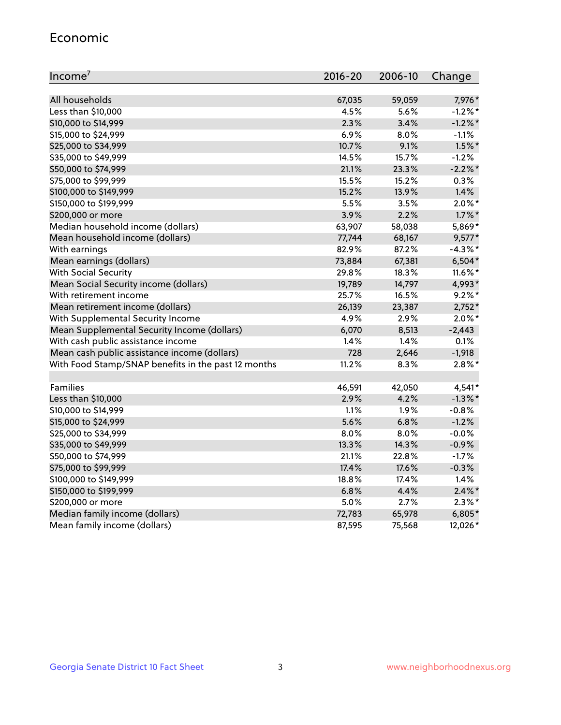#### Economic

| Income <sup>7</sup>                                 | 2016-20 | 2006-10 | Change     |
|-----------------------------------------------------|---------|---------|------------|
|                                                     |         |         |            |
| All households                                      | 67,035  | 59,059  | 7,976*     |
| Less than \$10,000                                  | 4.5%    | 5.6%    | $-1.2\%$ * |
| \$10,000 to \$14,999                                | 2.3%    | 3.4%    | $-1.2\%$ * |
| \$15,000 to \$24,999                                | 6.9%    | 8.0%    | $-1.1%$    |
| \$25,000 to \$34,999                                | 10.7%   | 9.1%    | $1.5\%$ *  |
| \$35,000 to \$49,999                                | 14.5%   | 15.7%   | $-1.2%$    |
| \$50,000 to \$74,999                                | 21.1%   | 23.3%   | $-2.2%$ *  |
| \$75,000 to \$99,999                                | 15.5%   | 15.2%   | $0.3\%$    |
| \$100,000 to \$149,999                              | 15.2%   | 13.9%   | 1.4%       |
| \$150,000 to \$199,999                              | 5.5%    | 3.5%    | $2.0\%$ *  |
| \$200,000 or more                                   | 3.9%    | 2.2%    | $1.7\%$ *  |
| Median household income (dollars)                   | 63,907  | 58,038  | 5,869*     |
| Mean household income (dollars)                     | 77,744  | 68,167  | $9,577*$   |
| With earnings                                       | 82.9%   | 87.2%   | $-4.3\%$ * |
| Mean earnings (dollars)                             | 73,884  | 67,381  | $6,504*$   |
| <b>With Social Security</b>                         | 29.8%   | 18.3%   | $11.6\%$ * |
| Mean Social Security income (dollars)               | 19,789  | 14,797  | 4,993*     |
| With retirement income                              | 25.7%   | 16.5%   | $9.2%$ *   |
| Mean retirement income (dollars)                    | 26,139  | 23,387  | $2,752*$   |
| With Supplemental Security Income                   | 4.9%    | 2.9%    | $2.0\%$ *  |
| Mean Supplemental Security Income (dollars)         | 6,070   | 8,513   | $-2,443$   |
| With cash public assistance income                  | 1.4%    | 1.4%    | 0.1%       |
| Mean cash public assistance income (dollars)        | 728     | 2,646   | $-1,918$   |
| With Food Stamp/SNAP benefits in the past 12 months | 11.2%   | 8.3%    | $2.8\%$ *  |
|                                                     |         |         |            |
| Families                                            | 46,591  | 42,050  | 4,541*     |
| Less than \$10,000                                  | 2.9%    | 4.2%    | $-1.3\%$ * |
| \$10,000 to \$14,999                                | 1.1%    | 1.9%    | $-0.8%$    |
| \$15,000 to \$24,999                                | 5.6%    | 6.8%    | $-1.2%$    |
| \$25,000 to \$34,999                                | 8.0%    | 8.0%    | $-0.0%$    |
| \$35,000 to \$49,999                                | 13.3%   | 14.3%   | $-0.9%$    |
| \$50,000 to \$74,999                                | 21.1%   | 22.8%   | $-1.7%$    |
| \$75,000 to \$99,999                                | 17.4%   | 17.6%   | $-0.3%$    |
| \$100,000 to \$149,999                              | 18.8%   | 17.4%   | 1.4%       |
| \$150,000 to \$199,999                              | 6.8%    | 4.4%    | $2.4\%$ *  |
| \$200,000 or more                                   | 5.0%    | 2.7%    | $2.3\%$ *  |
| Median family income (dollars)                      | 72,783  | 65,978  | $6,805*$   |
| Mean family income (dollars)                        | 87,595  | 75,568  | 12,026*    |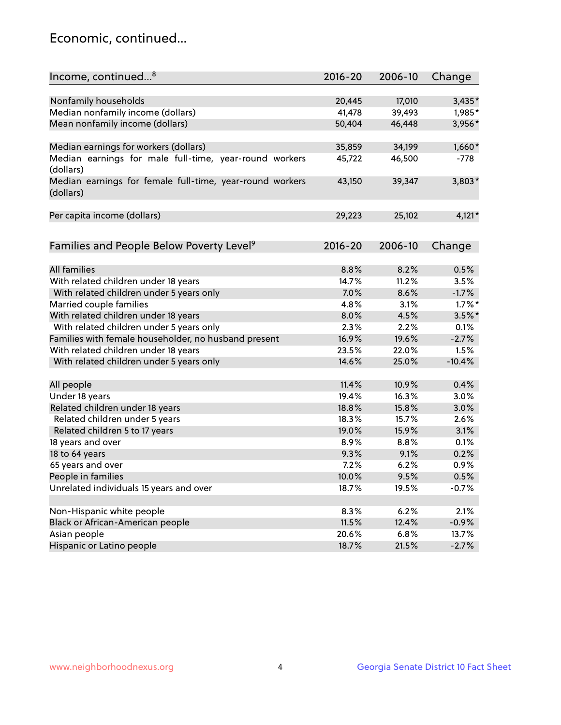## Economic, continued...

| Income, continued <sup>8</sup>                                        | $2016 - 20$ | 2006-10 | Change    |
|-----------------------------------------------------------------------|-------------|---------|-----------|
|                                                                       |             |         |           |
| Nonfamily households                                                  | 20,445      | 17,010  | $3,435*$  |
| Median nonfamily income (dollars)                                     | 41,478      | 39,493  | 1,985*    |
| Mean nonfamily income (dollars)                                       | 50,404      | 46,448  | 3,956*    |
| Median earnings for workers (dollars)                                 | 35,859      | 34,199  | $1,660*$  |
| Median earnings for male full-time, year-round workers<br>(dollars)   | 45,722      | 46,500  | $-778$    |
| Median earnings for female full-time, year-round workers<br>(dollars) | 43,150      | 39,347  | 3,803*    |
| Per capita income (dollars)                                           | 29,223      | 25,102  | $4,121*$  |
|                                                                       | $2016 - 20$ | 2006-10 |           |
| Families and People Below Poverty Level <sup>9</sup>                  |             |         | Change    |
| <b>All families</b>                                                   | 8.8%        | 8.2%    | 0.5%      |
| With related children under 18 years                                  | 14.7%       | 11.2%   | 3.5%      |
| With related children under 5 years only                              | 7.0%        | 8.6%    | $-1.7%$   |
| Married couple families                                               | 4.8%        | 3.1%    | $1.7\%$ * |
| With related children under 18 years                                  | 8.0%        | 4.5%    | $3.5\%$ * |
| With related children under 5 years only                              | 2.3%        | 2.2%    | 0.1%      |
| Families with female householder, no husband present                  | 16.9%       | 19.6%   | $-2.7%$   |
| With related children under 18 years                                  | 23.5%       | 22.0%   | 1.5%      |
| With related children under 5 years only                              | 14.6%       | 25.0%   | $-10.4%$  |
| All people                                                            | 11.4%       | 10.9%   | 0.4%      |
| Under 18 years                                                        | 19.4%       | 16.3%   | 3.0%      |
| Related children under 18 years                                       | 18.8%       | 15.8%   | 3.0%      |
| Related children under 5 years                                        | 18.3%       | 15.7%   | 2.6%      |
| Related children 5 to 17 years                                        | 19.0%       | 15.9%   | 3.1%      |
| 18 years and over                                                     | 8.9%        | 8.8%    | 0.1%      |
| 18 to 64 years                                                        | 9.3%        | 9.1%    | 0.2%      |
| 65 years and over                                                     | 7.2%        | 6.2%    | 0.9%      |
| People in families                                                    | 10.0%       | 9.5%    | 0.5%      |
| Unrelated individuals 15 years and over                               | 18.7%       | 19.5%   | $-0.7%$   |
|                                                                       |             |         |           |
| Non-Hispanic white people                                             | 8.3%        | 6.2%    | 2.1%      |
| Black or African-American people                                      | 11.5%       | 12.4%   | $-0.9%$   |
| Asian people                                                          | 20.6%       | 6.8%    | 13.7%     |
| Hispanic or Latino people                                             | 18.7%       | 21.5%   | $-2.7%$   |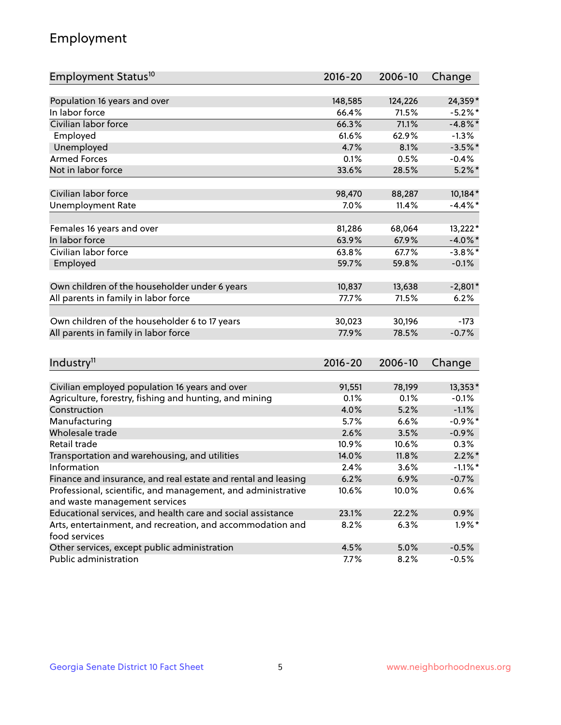## Employment

| Employment Status <sup>10</sup>                                                               | $2016 - 20$ | 2006-10 | Change     |
|-----------------------------------------------------------------------------------------------|-------------|---------|------------|
|                                                                                               |             |         |            |
| Population 16 years and over                                                                  | 148,585     | 124,226 | 24,359*    |
| In labor force                                                                                | 66.4%       | 71.5%   | $-5.2%$ *  |
| Civilian labor force                                                                          | 66.3%       | 71.1%   | $-4.8\%$ * |
| Employed                                                                                      | 61.6%       | 62.9%   | $-1.3%$    |
| Unemployed                                                                                    | 4.7%        | 8.1%    | $-3.5%$ *  |
| <b>Armed Forces</b>                                                                           | 0.1%        | 0.5%    | $-0.4%$    |
| Not in labor force                                                                            | 33.6%       | 28.5%   | $5.2\%$ *  |
| Civilian labor force                                                                          | 98,470      | 88,287  | 10,184*    |
| <b>Unemployment Rate</b>                                                                      | 7.0%        | 11.4%   | $-4.4\%$ * |
|                                                                                               |             |         |            |
| Females 16 years and over                                                                     | 81,286      | 68,064  | $13,222*$  |
| In labor force                                                                                | 63.9%       | 67.9%   | $-4.0\%$ * |
| Civilian labor force                                                                          | 63.8%       | 67.7%   | $-3.8\%$ * |
| Employed                                                                                      | 59.7%       | 59.8%   | $-0.1%$    |
| Own children of the householder under 6 years                                                 | 10,837      | 13,638  | $-2,801*$  |
| All parents in family in labor force                                                          | 77.7%       | 71.5%   | 6.2%       |
|                                                                                               |             |         |            |
| Own children of the householder 6 to 17 years                                                 | 30,023      | 30,196  | $-173$     |
| All parents in family in labor force                                                          | 77.9%       | 78.5%   | $-0.7%$    |
|                                                                                               |             |         |            |
| Industry <sup>11</sup>                                                                        | $2016 - 20$ | 2006-10 | Change     |
|                                                                                               |             |         |            |
| Civilian employed population 16 years and over                                                | 91,551      | 78,199  | 13,353*    |
| Agriculture, forestry, fishing and hunting, and mining                                        | 0.1%        | 0.1%    | $-0.1%$    |
| Construction                                                                                  | 4.0%        | 5.2%    | $-1.1%$    |
| Manufacturing                                                                                 | 5.7%        | 6.6%    | $-0.9\%$ * |
| Wholesale trade                                                                               | 2.6%        | 3.5%    | $-0.9%$    |
| Retail trade                                                                                  | 10.9%       | 10.6%   | 0.3%       |
| Transportation and warehousing, and utilities                                                 | 14.0%       | 11.8%   | $2.2\%$ *  |
| Information                                                                                   | 2.4%        | 3.6%    | $-1.1\%$ * |
| Finance and insurance, and real estate and rental and leasing                                 | 6.2%        | 6.9%    | $-0.7%$    |
| Professional, scientific, and management, and administrative<br>and waste management services | 10.6%       | 10.0%   | 0.6%       |
| Educational services, and health care and social assistance                                   | 23.1%       | 22.2%   | 0.9%       |
| Arts, entertainment, and recreation, and accommodation and                                    | 8.2%        | 6.3%    | $1.9\%$ *  |
| food services                                                                                 |             |         |            |
| Other services, except public administration                                                  | 4.5%        | 5.0%    | $-0.5%$    |
| Public administration                                                                         | 7.7%        | 8.2%    | $-0.5%$    |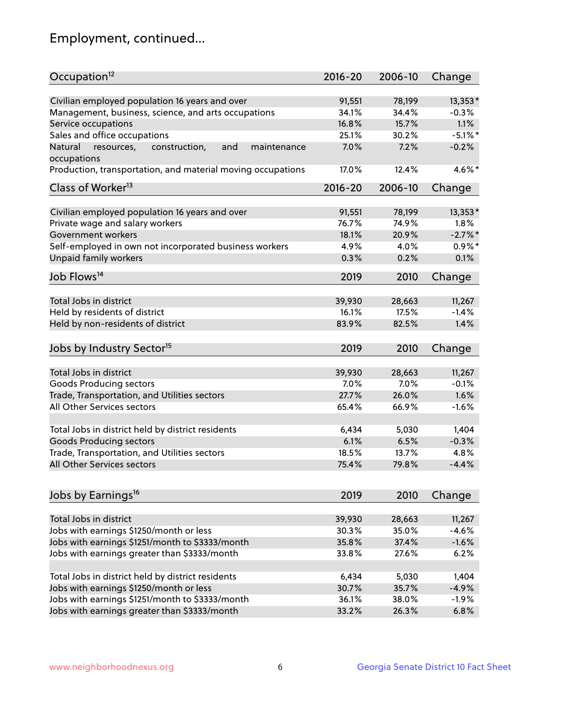## Employment, continued...

| Civilian employed population 16 years and over<br>$13,353*$<br>91,551<br>78,199<br>Management, business, science, and arts occupations<br>34.1%<br>34.4%<br>$-0.3%$<br>16.8%<br>15.7%<br>1.1%<br>Service occupations<br>Sales and office occupations<br>$-5.1\%$ *<br>25.1%<br>30.2%<br>$-0.2%$<br>Natural<br>and<br>7.0%<br>7.2%<br>resources,<br>construction,<br>maintenance<br>4.6%*<br>Production, transportation, and material moving occupations<br>17.0%<br>12.4%<br>Class of Worker <sup>13</sup><br>$2016 - 20$<br>2006-10<br>Change<br>Civilian employed population 16 years and over<br>13,353*<br>91,551<br>78,199<br>Private wage and salary workers<br>76.7%<br>74.9%<br>1.8%<br>$-2.7%$<br>Government workers<br>18.1%<br>20.9%<br>Self-employed in own not incorporated business workers<br>$0.9\%$ *<br>4.9%<br>4.0%<br>Unpaid family workers<br>0.1%<br>0.3%<br>0.2%<br>2019<br>2010<br>Change<br>Total Jobs in district<br>39,930<br>28,663<br>11,267<br>Held by residents of district<br>$-1.4%$<br>16.1%<br>17.5%<br>Held by non-residents of district<br>1.4%<br>83.9%<br>82.5%<br>2019<br>2010<br>Change<br>Total Jobs in district<br>39,930<br>28,663<br>11,267<br>Goods Producing sectors<br>7.0%<br>7.0%<br>$-0.1%$<br>1.6%<br>Trade, Transportation, and Utilities sectors<br>27.7%<br>26.0%<br>All Other Services sectors<br>65.4%<br>66.9%<br>$-1.6%$<br>Total Jobs in district held by district residents<br>6,434<br>5,030<br>1,404<br><b>Goods Producing sectors</b><br>6.1%<br>6.5%<br>$-0.3%$<br>Trade, Transportation, and Utilities sectors<br>18.5%<br>13.7%<br>4.8%<br>All Other Services sectors<br>75.4%<br>79.8%<br>$-4.4%$ | Occupation <sup>12</sup>                        | $2016 - 20$ | 2006-10 | Change |
|-----------------------------------------------------------------------------------------------------------------------------------------------------------------------------------------------------------------------------------------------------------------------------------------------------------------------------------------------------------------------------------------------------------------------------------------------------------------------------------------------------------------------------------------------------------------------------------------------------------------------------------------------------------------------------------------------------------------------------------------------------------------------------------------------------------------------------------------------------------------------------------------------------------------------------------------------------------------------------------------------------------------------------------------------------------------------------------------------------------------------------------------------------------------------------------------------------------------------------------------------------------------------------------------------------------------------------------------------------------------------------------------------------------------------------------------------------------------------------------------------------------------------------------------------------------------------------------------------------------------------------------------------------------------------|-------------------------------------------------|-------------|---------|--------|
|                                                                                                                                                                                                                                                                                                                                                                                                                                                                                                                                                                                                                                                                                                                                                                                                                                                                                                                                                                                                                                                                                                                                                                                                                                                                                                                                                                                                                                                                                                                                                                                                                                                                       |                                                 |             |         |        |
|                                                                                                                                                                                                                                                                                                                                                                                                                                                                                                                                                                                                                                                                                                                                                                                                                                                                                                                                                                                                                                                                                                                                                                                                                                                                                                                                                                                                                                                                                                                                                                                                                                                                       |                                                 |             |         |        |
|                                                                                                                                                                                                                                                                                                                                                                                                                                                                                                                                                                                                                                                                                                                                                                                                                                                                                                                                                                                                                                                                                                                                                                                                                                                                                                                                                                                                                                                                                                                                                                                                                                                                       |                                                 |             |         |        |
|                                                                                                                                                                                                                                                                                                                                                                                                                                                                                                                                                                                                                                                                                                                                                                                                                                                                                                                                                                                                                                                                                                                                                                                                                                                                                                                                                                                                                                                                                                                                                                                                                                                                       |                                                 |             |         |        |
|                                                                                                                                                                                                                                                                                                                                                                                                                                                                                                                                                                                                                                                                                                                                                                                                                                                                                                                                                                                                                                                                                                                                                                                                                                                                                                                                                                                                                                                                                                                                                                                                                                                                       |                                                 |             |         |        |
|                                                                                                                                                                                                                                                                                                                                                                                                                                                                                                                                                                                                                                                                                                                                                                                                                                                                                                                                                                                                                                                                                                                                                                                                                                                                                                                                                                                                                                                                                                                                                                                                                                                                       | occupations                                     |             |         |        |
|                                                                                                                                                                                                                                                                                                                                                                                                                                                                                                                                                                                                                                                                                                                                                                                                                                                                                                                                                                                                                                                                                                                                                                                                                                                                                                                                                                                                                                                                                                                                                                                                                                                                       |                                                 |             |         |        |
|                                                                                                                                                                                                                                                                                                                                                                                                                                                                                                                                                                                                                                                                                                                                                                                                                                                                                                                                                                                                                                                                                                                                                                                                                                                                                                                                                                                                                                                                                                                                                                                                                                                                       |                                                 |             |         |        |
|                                                                                                                                                                                                                                                                                                                                                                                                                                                                                                                                                                                                                                                                                                                                                                                                                                                                                                                                                                                                                                                                                                                                                                                                                                                                                                                                                                                                                                                                                                                                                                                                                                                                       |                                                 |             |         |        |
|                                                                                                                                                                                                                                                                                                                                                                                                                                                                                                                                                                                                                                                                                                                                                                                                                                                                                                                                                                                                                                                                                                                                                                                                                                                                                                                                                                                                                                                                                                                                                                                                                                                                       |                                                 |             |         |        |
|                                                                                                                                                                                                                                                                                                                                                                                                                                                                                                                                                                                                                                                                                                                                                                                                                                                                                                                                                                                                                                                                                                                                                                                                                                                                                                                                                                                                                                                                                                                                                                                                                                                                       |                                                 |             |         |        |
|                                                                                                                                                                                                                                                                                                                                                                                                                                                                                                                                                                                                                                                                                                                                                                                                                                                                                                                                                                                                                                                                                                                                                                                                                                                                                                                                                                                                                                                                                                                                                                                                                                                                       |                                                 |             |         |        |
|                                                                                                                                                                                                                                                                                                                                                                                                                                                                                                                                                                                                                                                                                                                                                                                                                                                                                                                                                                                                                                                                                                                                                                                                                                                                                                                                                                                                                                                                                                                                                                                                                                                                       |                                                 |             |         |        |
|                                                                                                                                                                                                                                                                                                                                                                                                                                                                                                                                                                                                                                                                                                                                                                                                                                                                                                                                                                                                                                                                                                                                                                                                                                                                                                                                                                                                                                                                                                                                                                                                                                                                       |                                                 |             |         |        |
|                                                                                                                                                                                                                                                                                                                                                                                                                                                                                                                                                                                                                                                                                                                                                                                                                                                                                                                                                                                                                                                                                                                                                                                                                                                                                                                                                                                                                                                                                                                                                                                                                                                                       | Job Flows <sup>14</sup>                         |             |         |        |
|                                                                                                                                                                                                                                                                                                                                                                                                                                                                                                                                                                                                                                                                                                                                                                                                                                                                                                                                                                                                                                                                                                                                                                                                                                                                                                                                                                                                                                                                                                                                                                                                                                                                       |                                                 |             |         |        |
|                                                                                                                                                                                                                                                                                                                                                                                                                                                                                                                                                                                                                                                                                                                                                                                                                                                                                                                                                                                                                                                                                                                                                                                                                                                                                                                                                                                                                                                                                                                                                                                                                                                                       |                                                 |             |         |        |
|                                                                                                                                                                                                                                                                                                                                                                                                                                                                                                                                                                                                                                                                                                                                                                                                                                                                                                                                                                                                                                                                                                                                                                                                                                                                                                                                                                                                                                                                                                                                                                                                                                                                       |                                                 |             |         |        |
|                                                                                                                                                                                                                                                                                                                                                                                                                                                                                                                                                                                                                                                                                                                                                                                                                                                                                                                                                                                                                                                                                                                                                                                                                                                                                                                                                                                                                                                                                                                                                                                                                                                                       |                                                 |             |         |        |
|                                                                                                                                                                                                                                                                                                                                                                                                                                                                                                                                                                                                                                                                                                                                                                                                                                                                                                                                                                                                                                                                                                                                                                                                                                                                                                                                                                                                                                                                                                                                                                                                                                                                       | Jobs by Industry Sector <sup>15</sup>           |             |         |        |
|                                                                                                                                                                                                                                                                                                                                                                                                                                                                                                                                                                                                                                                                                                                                                                                                                                                                                                                                                                                                                                                                                                                                                                                                                                                                                                                                                                                                                                                                                                                                                                                                                                                                       |                                                 |             |         |        |
|                                                                                                                                                                                                                                                                                                                                                                                                                                                                                                                                                                                                                                                                                                                                                                                                                                                                                                                                                                                                                                                                                                                                                                                                                                                                                                                                                                                                                                                                                                                                                                                                                                                                       |                                                 |             |         |        |
|                                                                                                                                                                                                                                                                                                                                                                                                                                                                                                                                                                                                                                                                                                                                                                                                                                                                                                                                                                                                                                                                                                                                                                                                                                                                                                                                                                                                                                                                                                                                                                                                                                                                       |                                                 |             |         |        |
|                                                                                                                                                                                                                                                                                                                                                                                                                                                                                                                                                                                                                                                                                                                                                                                                                                                                                                                                                                                                                                                                                                                                                                                                                                                                                                                                                                                                                                                                                                                                                                                                                                                                       |                                                 |             |         |        |
|                                                                                                                                                                                                                                                                                                                                                                                                                                                                                                                                                                                                                                                                                                                                                                                                                                                                                                                                                                                                                                                                                                                                                                                                                                                                                                                                                                                                                                                                                                                                                                                                                                                                       |                                                 |             |         |        |
|                                                                                                                                                                                                                                                                                                                                                                                                                                                                                                                                                                                                                                                                                                                                                                                                                                                                                                                                                                                                                                                                                                                                                                                                                                                                                                                                                                                                                                                                                                                                                                                                                                                                       |                                                 |             |         |        |
|                                                                                                                                                                                                                                                                                                                                                                                                                                                                                                                                                                                                                                                                                                                                                                                                                                                                                                                                                                                                                                                                                                                                                                                                                                                                                                                                                                                                                                                                                                                                                                                                                                                                       |                                                 |             |         |        |
|                                                                                                                                                                                                                                                                                                                                                                                                                                                                                                                                                                                                                                                                                                                                                                                                                                                                                                                                                                                                                                                                                                                                                                                                                                                                                                                                                                                                                                                                                                                                                                                                                                                                       |                                                 |             |         |        |
|                                                                                                                                                                                                                                                                                                                                                                                                                                                                                                                                                                                                                                                                                                                                                                                                                                                                                                                                                                                                                                                                                                                                                                                                                                                                                                                                                                                                                                                                                                                                                                                                                                                                       |                                                 |             |         |        |
|                                                                                                                                                                                                                                                                                                                                                                                                                                                                                                                                                                                                                                                                                                                                                                                                                                                                                                                                                                                                                                                                                                                                                                                                                                                                                                                                                                                                                                                                                                                                                                                                                                                                       |                                                 |             |         |        |
|                                                                                                                                                                                                                                                                                                                                                                                                                                                                                                                                                                                                                                                                                                                                                                                                                                                                                                                                                                                                                                                                                                                                                                                                                                                                                                                                                                                                                                                                                                                                                                                                                                                                       | Jobs by Earnings <sup>16</sup>                  | 2019        | 2010    | Change |
|                                                                                                                                                                                                                                                                                                                                                                                                                                                                                                                                                                                                                                                                                                                                                                                                                                                                                                                                                                                                                                                                                                                                                                                                                                                                                                                                                                                                                                                                                                                                                                                                                                                                       |                                                 |             |         |        |
| Total Jobs in district<br>11,267<br>39,930<br>28,663                                                                                                                                                                                                                                                                                                                                                                                                                                                                                                                                                                                                                                                                                                                                                                                                                                                                                                                                                                                                                                                                                                                                                                                                                                                                                                                                                                                                                                                                                                                                                                                                                  |                                                 |             |         |        |
| 35.0%<br>$-4.6%$<br>30.3%                                                                                                                                                                                                                                                                                                                                                                                                                                                                                                                                                                                                                                                                                                                                                                                                                                                                                                                                                                                                                                                                                                                                                                                                                                                                                                                                                                                                                                                                                                                                                                                                                                             | Jobs with earnings \$1250/month or less         |             |         |        |
| 35.8%<br>37.4%<br>$-1.6%$                                                                                                                                                                                                                                                                                                                                                                                                                                                                                                                                                                                                                                                                                                                                                                                                                                                                                                                                                                                                                                                                                                                                                                                                                                                                                                                                                                                                                                                                                                                                                                                                                                             | Jobs with earnings \$1251/month to \$3333/month |             |         |        |
| Jobs with earnings greater than \$3333/month<br>27.6%<br>6.2%<br>33.8%                                                                                                                                                                                                                                                                                                                                                                                                                                                                                                                                                                                                                                                                                                                                                                                                                                                                                                                                                                                                                                                                                                                                                                                                                                                                                                                                                                                                                                                                                                                                                                                                |                                                 |             |         |        |
| Total Jobs in district held by district residents<br>6,434<br>5,030<br>1,404                                                                                                                                                                                                                                                                                                                                                                                                                                                                                                                                                                                                                                                                                                                                                                                                                                                                                                                                                                                                                                                                                                                                                                                                                                                                                                                                                                                                                                                                                                                                                                                          |                                                 |             |         |        |
| 35.7%<br>$-4.9%$<br>30.7%                                                                                                                                                                                                                                                                                                                                                                                                                                                                                                                                                                                                                                                                                                                                                                                                                                                                                                                                                                                                                                                                                                                                                                                                                                                                                                                                                                                                                                                                                                                                                                                                                                             | Jobs with earnings \$1250/month or less         |             |         |        |
| 36.1%<br>38.0%<br>$-1.9%$                                                                                                                                                                                                                                                                                                                                                                                                                                                                                                                                                                                                                                                                                                                                                                                                                                                                                                                                                                                                                                                                                                                                                                                                                                                                                                                                                                                                                                                                                                                                                                                                                                             | Jobs with earnings \$1251/month to \$3333/month |             |         |        |
| 6.8%<br>33.2%<br>26.3%                                                                                                                                                                                                                                                                                                                                                                                                                                                                                                                                                                                                                                                                                                                                                                                                                                                                                                                                                                                                                                                                                                                                                                                                                                                                                                                                                                                                                                                                                                                                                                                                                                                | Jobs with earnings greater than \$3333/month    |             |         |        |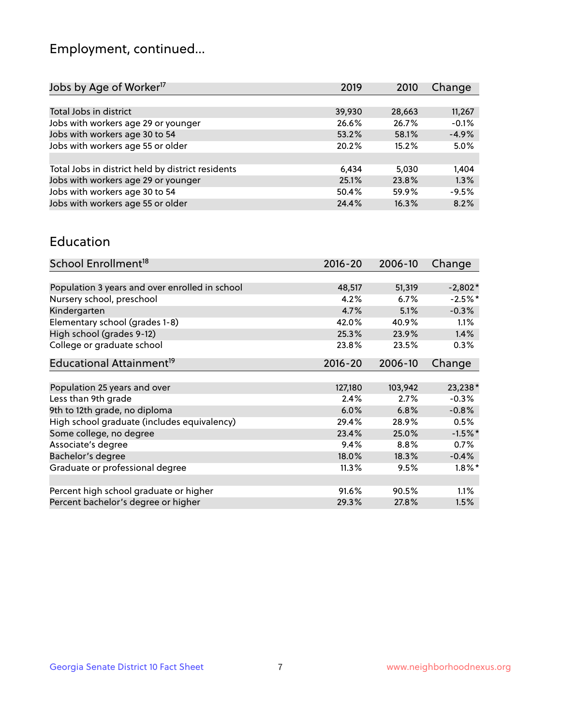## Employment, continued...

| 2019   | 2010   | Change  |
|--------|--------|---------|
|        |        |         |
| 39,930 | 28,663 | 11,267  |
| 26.6%  | 26.7%  | $-0.1%$ |
| 53.2%  | 58.1%  | $-4.9%$ |
| 20.2%  | 15.2%  | 5.0%    |
|        |        |         |
| 6,434  | 5,030  | 1,404   |
| 25.1%  | 23.8%  | 1.3%    |
| 50.4%  | 59.9%  | $-9.5%$ |
| 24.4%  | 16.3%  | 8.2%    |
|        |        |         |

#### Education

| School Enrollment <sup>18</sup>                | $2016 - 20$ | 2006-10 | Change    |
|------------------------------------------------|-------------|---------|-----------|
|                                                |             |         |           |
| Population 3 years and over enrolled in school | 48,517      | 51,319  | $-2,802*$ |
| Nursery school, preschool                      | 4.2%        | 6.7%    | $-2.5%$ * |
| Kindergarten                                   | 4.7%        | 5.1%    | $-0.3%$   |
| Elementary school (grades 1-8)                 | 42.0%       | 40.9%   | $1.1\%$   |
| High school (grades 9-12)                      | 25.3%       | 23.9%   | 1.4%      |
| College or graduate school                     | 23.8%       | 23.5%   | $0.3\%$   |
| Educational Attainment <sup>19</sup>           | $2016 - 20$ | 2006-10 | Change    |
|                                                |             |         |           |
| Population 25 years and over                   | 127,180     | 103,942 | 23,238*   |
| Less than 9th grade                            | 2.4%        | 2.7%    | $-0.3%$   |
| 9th to 12th grade, no diploma                  | 6.0%        | 6.8%    | $-0.8%$   |
| High school graduate (includes equivalency)    | 29.4%       | 28.9%   | 0.5%      |
| Some college, no degree                        | 23.4%       | 25.0%   | $-1.5%$ * |
| Associate's degree                             | 9.4%        | 8.8%    | 0.7%      |
| Bachelor's degree                              | 18.0%       | 18.3%   | $-0.4%$   |
| Graduate or professional degree                | 11.3%       | 9.5%    | $1.8\%$ * |
|                                                |             |         |           |
| Percent high school graduate or higher         | 91.6%       | 90.5%   | 1.1%      |
| Percent bachelor's degree or higher            | 29.3%       | 27.8%   | 1.5%      |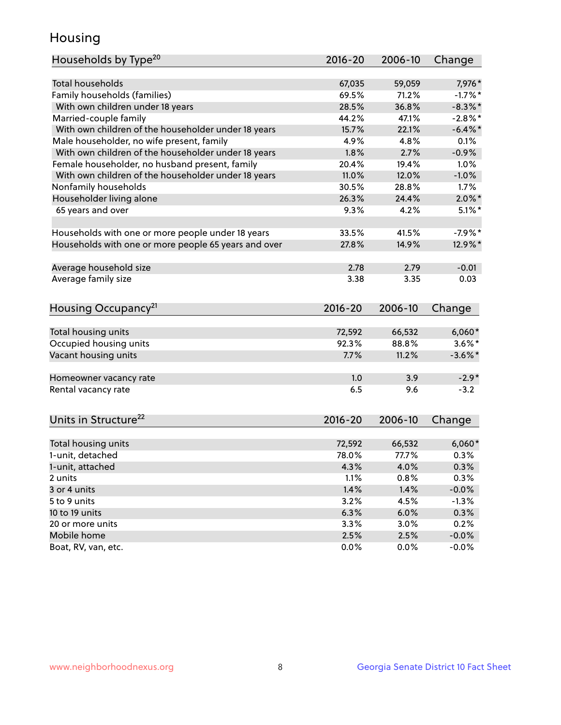## Housing

| Households by Type <sup>20</sup>                     | 2016-20 | 2006-10 | Change     |
|------------------------------------------------------|---------|---------|------------|
|                                                      |         |         |            |
| <b>Total households</b>                              | 67,035  | 59,059  | 7,976*     |
| Family households (families)                         | 69.5%   | 71.2%   | $-1.7%$ *  |
| With own children under 18 years                     | 28.5%   | 36.8%   | $-8.3\%$ * |
| Married-couple family                                | 44.2%   | 47.1%   | $-2.8\%$ * |
| With own children of the householder under 18 years  | 15.7%   | 22.1%   | $-6.4\%$ * |
| Male householder, no wife present, family            | 4.9%    | 4.8%    | 0.1%       |
| With own children of the householder under 18 years  | 1.8%    | 2.7%    | $-0.9%$    |
| Female householder, no husband present, family       | 20.4%   | 19.4%   | 1.0%       |
| With own children of the householder under 18 years  | 11.0%   | 12.0%   | $-1.0%$    |
| Nonfamily households                                 | 30.5%   | 28.8%   | 1.7%       |
| Householder living alone                             | 26.3%   | 24.4%   | $2.0\%$ *  |
| 65 years and over                                    | 9.3%    | 4.2%    | $5.1\%$ *  |
|                                                      |         |         |            |
| Households with one or more people under 18 years    | 33.5%   | 41.5%   | $-7.9%$ *  |
| Households with one or more people 65 years and over | 27.8%   | 14.9%   | 12.9%*     |
|                                                      |         |         |            |
| Average household size                               | 2.78    | 2.79    | $-0.01$    |
| Average family size                                  | 3.38    | 3.35    | 0.03       |
|                                                      |         |         |            |
| Housing Occupancy <sup>21</sup>                      | 2016-20 | 2006-10 | Change     |
|                                                      |         |         |            |
| Total housing units                                  | 72,592  | 66,532  | $6,060*$   |
| Occupied housing units                               | 92.3%   | 88.8%   | $3.6\%$ *  |
| Vacant housing units                                 | 7.7%    | 11.2%   | $-3.6\%$ * |
|                                                      |         |         |            |
| Homeowner vacancy rate                               | 1.0     | 3.9     | $-2.9*$    |
| Rental vacancy rate                                  | 6.5     | 9.6     | $-3.2$     |
|                                                      |         |         |            |
| Units in Structure <sup>22</sup>                     | 2016-20 | 2006-10 | Change     |
|                                                      |         |         |            |
| Total housing units                                  | 72,592  | 66,532  | $6,060*$   |
| 1-unit, detached                                     | 78.0%   | 77.7%   | 0.3%       |
| 1-unit, attached                                     | 4.3%    | 4.0%    | 0.3%       |
| 2 units                                              | 1.1%    | 0.8%    | 0.3%       |
| 3 or 4 units                                         | 1.4%    | 1.4%    | $-0.0%$    |
| 5 to 9 units                                         | 3.2%    | 4.5%    | $-1.3%$    |
| 10 to 19 units                                       | 6.3%    | 6.0%    | 0.3%       |
| 20 or more units                                     | 3.3%    | 3.0%    | 0.2%       |
| Mobile home                                          | 2.5%    | 2.5%    | $-0.0\%$   |
| Boat, RV, van, etc.                                  | 0.0%    | 0.0%    | $-0.0%$    |
|                                                      |         |         |            |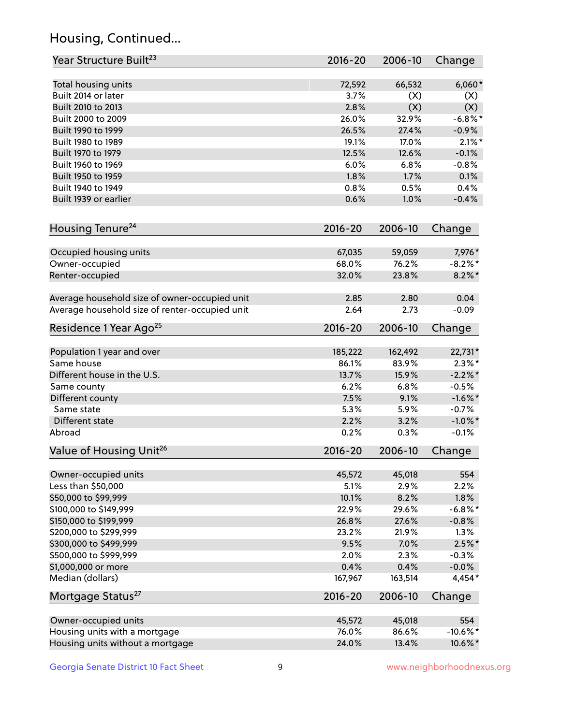## Housing, Continued...

| Year Structure Built <sup>23</sup>             | 2016-20     | 2006-10 | Change      |
|------------------------------------------------|-------------|---------|-------------|
| Total housing units                            | 72,592      | 66,532  | $6,060*$    |
| Built 2014 or later                            | 3.7%        | (X)     | (X)         |
| Built 2010 to 2013                             | 2.8%        | (X)     | (X)         |
| Built 2000 to 2009                             | 26.0%       | 32.9%   | $-6.8\%$ *  |
| Built 1990 to 1999                             | 26.5%       | 27.4%   | $-0.9%$     |
| Built 1980 to 1989                             | 19.1%       | 17.0%   | $2.1\%$ *   |
| Built 1970 to 1979                             | 12.5%       | 12.6%   | $-0.1%$     |
| Built 1960 to 1969                             | 6.0%        | 6.8%    | $-0.8%$     |
| Built 1950 to 1959                             | 1.8%        | 1.7%    | 0.1%        |
| Built 1940 to 1949                             | 0.8%        | 0.5%    | 0.4%        |
| Built 1939 or earlier                          | 0.6%        | 1.0%    | $-0.4%$     |
| Housing Tenure <sup>24</sup>                   | $2016 - 20$ | 2006-10 | Change      |
| Occupied housing units                         | 67,035      | 59,059  | 7,976*      |
| Owner-occupied                                 | 68.0%       | 76.2%   | $-8.2\%$ *  |
| Renter-occupied                                | 32.0%       | 23.8%   | $8.2\%$ *   |
| Average household size of owner-occupied unit  | 2.85        | 2.80    | 0.04        |
| Average household size of renter-occupied unit | 2.64        | 2.73    | $-0.09$     |
| Residence 1 Year Ago <sup>25</sup>             | 2016-20     | 2006-10 | Change      |
| Population 1 year and over                     | 185,222     | 162,492 | 22,731*     |
| Same house                                     | 86.1%       | 83.9%   | $2.3\%$ *   |
| Different house in the U.S.                    | 13.7%       | 15.9%   | $-2.2\%$ *  |
| Same county                                    | 6.2%        | 6.8%    | $-0.5%$     |
| Different county                               | 7.5%        | 9.1%    | $-1.6\%$ *  |
| Same state                                     | 5.3%        | 5.9%    | $-0.7%$     |
| Different state                                | 2.2%        | 3.2%    | $-1.0\%$ *  |
| Abroad                                         | 0.2%        | 0.3%    | $-0.1%$     |
| Value of Housing Unit <sup>26</sup>            | $2016 - 20$ | 2006-10 | Change      |
| Owner-occupied units                           | 45,572      | 45,018  | 554         |
| Less than \$50,000                             | 5.1%        | 2.9%    | 2.2%        |
| \$50,000 to \$99,999                           | 10.1%       | 8.2%    | 1.8%        |
| \$100,000 to \$149,999                         | 22.9%       | 29.6%   | $-6.8\%$ *  |
| \$150,000 to \$199,999                         | 26.8%       | 27.6%   | $-0.8%$     |
| \$200,000 to \$299,999                         | 23.2%       | 21.9%   | 1.3%        |
| \$300,000 to \$499,999                         | 9.5%        | 7.0%    | $2.5%$ *    |
| \$500,000 to \$999,999                         | 2.0%        | 2.3%    | $-0.3%$     |
| \$1,000,000 or more                            | 0.4%        | 0.4%    | $-0.0%$     |
| Median (dollars)                               | 167,967     | 163,514 | 4,454*      |
| Mortgage Status <sup>27</sup>                  | $2016 - 20$ | 2006-10 | Change      |
| Owner-occupied units                           | 45,572      | 45,018  | 554         |
| Housing units with a mortgage                  | 76.0%       | 86.6%   | $-10.6\%$ * |
| Housing units without a mortgage               | 24.0%       | 13.4%   | 10.6%*      |
|                                                |             |         |             |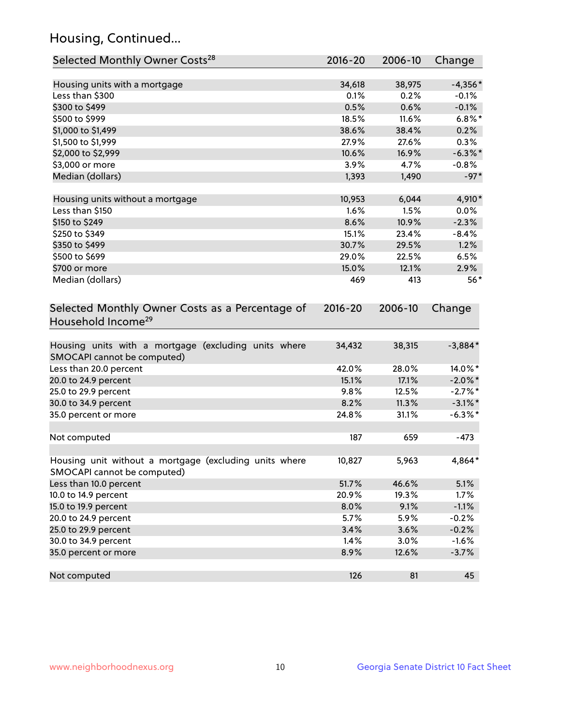## Housing, Continued...

| Selected Monthly Owner Costs <sup>28</sup>                                            | 2016-20     | 2006-10 | Change     |
|---------------------------------------------------------------------------------------|-------------|---------|------------|
| Housing units with a mortgage                                                         | 34,618      | 38,975  | $-4,356*$  |
| Less than \$300                                                                       | 0.1%        | 0.2%    | $-0.1%$    |
| \$300 to \$499                                                                        | 0.5%        | 0.6%    | $-0.1%$    |
| \$500 to \$999                                                                        | 18.5%       | 11.6%   | $6.8\%$ *  |
| \$1,000 to \$1,499                                                                    | 38.6%       | 38.4%   | 0.2%       |
| \$1,500 to \$1,999                                                                    | 27.9%       | 27.6%   | 0.3%       |
| \$2,000 to \$2,999                                                                    | 10.6%       | 16.9%   | $-6.3\%$ * |
| \$3,000 or more                                                                       | 3.9%        | 4.7%    | $-0.8%$    |
| Median (dollars)                                                                      | 1,393       | 1,490   | $-97*$     |
| Housing units without a mortgage                                                      | 10,953      | 6,044   | 4,910*     |
| Less than \$150                                                                       | 1.6%        | 1.5%    | 0.0%       |
| \$150 to \$249                                                                        | 8.6%        | 10.9%   | $-2.3%$    |
| \$250 to \$349                                                                        | 15.1%       | 23.4%   | $-8.4%$    |
| \$350 to \$499                                                                        | 30.7%       | 29.5%   | 1.2%       |
| \$500 to \$699                                                                        | 29.0%       | 22.5%   | 6.5%       |
| \$700 or more                                                                         | 15.0%       | 12.1%   | 2.9%       |
| Median (dollars)                                                                      | 469         | 413     | $56*$      |
| Selected Monthly Owner Costs as a Percentage of<br>Household Income <sup>29</sup>     | $2016 - 20$ | 2006-10 | Change     |
| Housing units with a mortgage (excluding units where<br>SMOCAPI cannot be computed)   | 34,432      | 38,315  | $-3,884*$  |
| Less than 20.0 percent                                                                | 42.0%       | 28.0%   | 14.0%*     |
| 20.0 to 24.9 percent                                                                  | 15.1%       | 17.1%   | $-2.0\%$ * |
| 25.0 to 29.9 percent                                                                  | 9.8%        | 12.5%   | $-2.7\%$ * |
| 30.0 to 34.9 percent                                                                  | 8.2%        | 11.3%   | $-3.1\%$ * |
| 35.0 percent or more                                                                  | 24.8%       | 31.1%   | $-6.3\%$ * |
| Not computed                                                                          | 187         | 659     | $-473$     |
| Housing unit without a mortgage (excluding units where<br>SMOCAPI cannot be computed) | 10,827      | 5,963   | 4,864*     |
| Less than 10.0 percent                                                                | 51.7%       | 46.6%   | 5.1%       |
| 10.0 to 14.9 percent                                                                  | 20.9%       | 19.3%   | 1.7%       |
| 15.0 to 19.9 percent                                                                  | 8.0%        | 9.1%    | $-1.1%$    |
| 20.0 to 24.9 percent                                                                  | 5.7%        | 5.9%    | $-0.2%$    |
| 25.0 to 29.9 percent                                                                  | 3.4%        | 3.6%    | $-0.2%$    |
| 30.0 to 34.9 percent                                                                  | 1.4%        | 3.0%    | $-1.6%$    |
| 35.0 percent or more                                                                  | 8.9%        | 12.6%   | $-3.7%$    |
| Not computed                                                                          | 126         | 81      | 45         |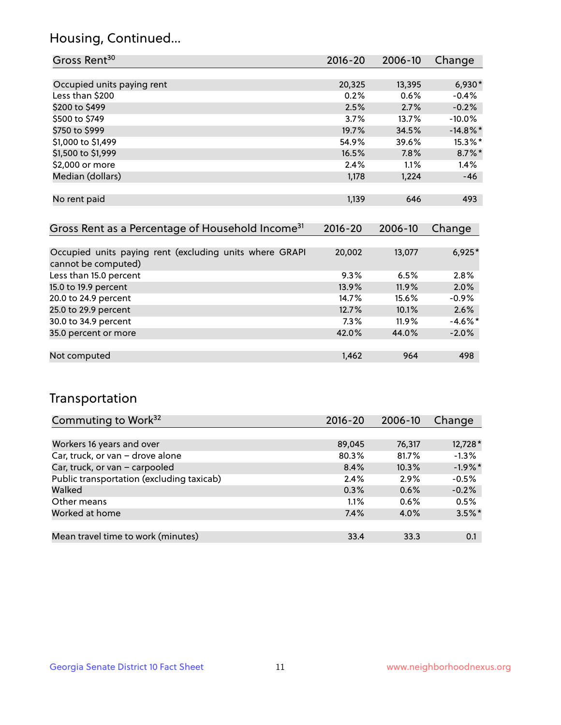## Housing, Continued...

| Gross Rent <sup>30</sup>   | 2016-20 | 2006-10 | Change      |
|----------------------------|---------|---------|-------------|
|                            |         |         |             |
| Occupied units paying rent | 20,325  | 13,395  | $6,930*$    |
| Less than \$200            | 0.2%    | 0.6%    | $-0.4%$     |
| \$200 to \$499             | 2.5%    | 2.7%    | $-0.2%$     |
| \$500 to \$749             | 3.7%    | 13.7%   | $-10.0%$    |
| \$750 to \$999             | 19.7%   | 34.5%   | $-14.8\%$ * |
| \$1,000 to \$1,499         | 54.9%   | 39.6%   | 15.3%*      |
| \$1,500 to \$1,999         | 16.5%   | 7.8%    | $8.7\%$ *   |
| \$2,000 or more            | 2.4%    | 1.1%    | 1.4%        |
| Median (dollars)           | 1,178   | 1,224   | $-46$       |
|                            |         |         |             |
| No rent paid               | 1,139   | 646     | 493         |
|                            |         |         |             |

| Gross Rent as a Percentage of Household Income <sup>31</sup>                   | $2016 - 20$ | 2006-10 | Change     |
|--------------------------------------------------------------------------------|-------------|---------|------------|
|                                                                                |             |         |            |
| Occupied units paying rent (excluding units where GRAPI<br>cannot be computed) | 20,002      | 13,077  | $6,925*$   |
| Less than 15.0 percent                                                         | 9.3%        | 6.5%    | 2.8%       |
| 15.0 to 19.9 percent                                                           | 13.9%       | 11.9%   | 2.0%       |
| 20.0 to 24.9 percent                                                           | 14.7%       | 15.6%   | $-0.9%$    |
| 25.0 to 29.9 percent                                                           | 12.7%       | 10.1%   | 2.6%       |
| 30.0 to 34.9 percent                                                           | 7.3%        | 11.9%   | $-4.6\%$ * |
| 35.0 percent or more                                                           | 42.0%       | 44.0%   | $-2.0%$    |
|                                                                                |             |         |            |
| Not computed                                                                   | 1,462       | 964     | 498        |

## Transportation

| Commuting to Work <sup>32</sup>           | 2016-20 | 2006-10 | Change    |
|-------------------------------------------|---------|---------|-----------|
|                                           |         |         |           |
| Workers 16 years and over                 | 89,045  | 76,317  | 12,728 *  |
| Car, truck, or van - drove alone          | 80.3%   | 81.7%   | $-1.3%$   |
| Car, truck, or van - carpooled            | 8.4%    | 10.3%   | $-1.9%$ * |
| Public transportation (excluding taxicab) | 2.4%    | 2.9%    | $-0.5%$   |
| Walked                                    | 0.3%    | 0.6%    | $-0.2%$   |
| Other means                               | 1.1%    | 0.6%    | 0.5%      |
| Worked at home                            | 7.4%    | 4.0%    | $3.5\%$ * |
|                                           |         |         |           |
| Mean travel time to work (minutes)        | 33.4    | 33.3    | 0.1       |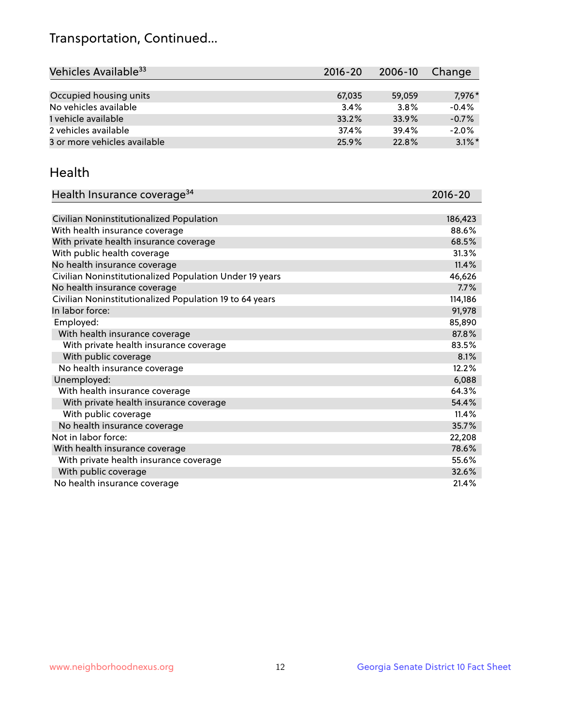## Transportation, Continued...

| Vehicles Available <sup>33</sup> | $2016 - 20$ | $2006 - 10$ | Change    |
|----------------------------------|-------------|-------------|-----------|
|                                  |             |             |           |
| Occupied housing units           | 67,035      | 59,059      | 7,976*    |
| No vehicles available            | 3.4%        | 3.8%        | $-0.4%$   |
| 1 vehicle available              | 33.2%       | 33.9%       | $-0.7%$   |
| 2 vehicles available             | 37.4%       | 39.4%       | $-2.0%$   |
| 3 or more vehicles available     | 25.9%       | 22.8%       | $3.1\%$ * |

#### Health

| Health Insurance coverage <sup>34</sup>                 | 2016-20 |
|---------------------------------------------------------|---------|
|                                                         |         |
| Civilian Noninstitutionalized Population                | 186,423 |
| With health insurance coverage                          | 88.6%   |
| With private health insurance coverage                  | 68.5%   |
| With public health coverage                             | 31.3%   |
| No health insurance coverage                            | 11.4%   |
| Civilian Noninstitutionalized Population Under 19 years | 46,626  |
| No health insurance coverage                            | 7.7%    |
| Civilian Noninstitutionalized Population 19 to 64 years | 114,186 |
| In labor force:                                         | 91,978  |
| Employed:                                               | 85,890  |
| With health insurance coverage                          | 87.8%   |
| With private health insurance coverage                  | 83.5%   |
| With public coverage                                    | 8.1%    |
| No health insurance coverage                            | 12.2%   |
| Unemployed:                                             | 6,088   |
| With health insurance coverage                          | 64.3%   |
| With private health insurance coverage                  | 54.4%   |
| With public coverage                                    | 11.4%   |
| No health insurance coverage                            | 35.7%   |
| Not in labor force:                                     | 22,208  |
| With health insurance coverage                          | 78.6%   |
| With private health insurance coverage                  | 55.6%   |
| With public coverage                                    | 32.6%   |
| No health insurance coverage                            | 21.4%   |